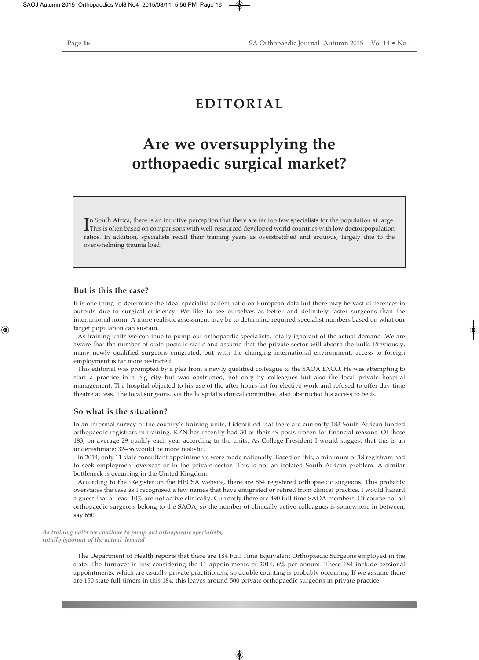## **EDITORIAL**

## **Are we oversupplying the orthopaedic surgical market?**

In South Africa, there is an intuitive perception that there are far too few specialists for the population at large.<br>This is often based on comparisons with well-resourced developed world countries with low doctor:populat This is often based on comparisons with well-resourced developed world countries with low doctor:population ratios. In addition, specialists recall their training years as overstretched and arduous, largely due to the overwhelming trauma load.

## **But is this the case?**

It is one thing to determine the ideal specialist:patient ratio on European data but there may be vast differences in outputs due to surgical efficiency. We like to see ourselves as better and definitely faster surgeons than the international norm. A more realistic assessment may be to determine required specialist numbers based on what our target population can sustain.

As training units we continue to pump out orthopaedic specialists, totally ignorant of the actual demand. We are aware that the number of state posts is static and assume that the private sector will absorb the bulk. Previously, many newly qualified surgeons emigrated, but with the changing international environment, access to foreign employment is far more restricted.

This editorial was prompted by a plea from a newly qualified colleague to the SAOA EXCO. He was attempting to start a practice in a big city but was obstructed, not only by colleagues but also the local private hospital management. The hospital objected to his use of the after-hours list for elective work and refused to offer day-time theatre access. The local surgeons, via the hospital's clinical committee, also obstructed his access to beds.

## **So what is the situation?**

In an informal survey of the country's training units, I identified that there are currently 183 South African funded orthopaedic registrars in training. KZN has recently had 30 of their 49 posts frozen for financial reasons. Of these 183, on average 29 qualify each year according to the units. As College President I would suggest that this is an underestimate; 32–36 would be more realistic.

In 2014, only 11 state consultant appointments were made nationally. Based on this, a minimum of 18 registrars had to seek employment overseas or in the private sector. This is not an isolated South African problem. A similar bottleneck is occurring in the United Kingdom.

According to the iRegister on the HPCSA website, there are 854 registered orthopaedic surgeons. This probably overstates the case as I recognised a few names that have emigrated or retired from clinical practice. I would hazard a guess that at least 10% are not active clinically. Currently there are 490 full-time SAOA members. Of course not all orthopaedic surgeons belong to the SAOA, so the number of clinically active colleagues is somewhere in-between, say 650.

*As training units we continue to pump out orthopaedic specialists, totally ignorant of the actual demand*

> The Department of Health reports that there are 184 Full Time Equivalent Orthopaedic Surgeons employed in the state. The turnover is low considering the 11 appointments of 2014, 6% per annum. These 184 include sessional appointments, which are usually private practitioners, so double counting is probably occurring. If we assume there are 150 state full-timers in this 184, this leaves around 500 private orthopaedic surgeons in private practice.